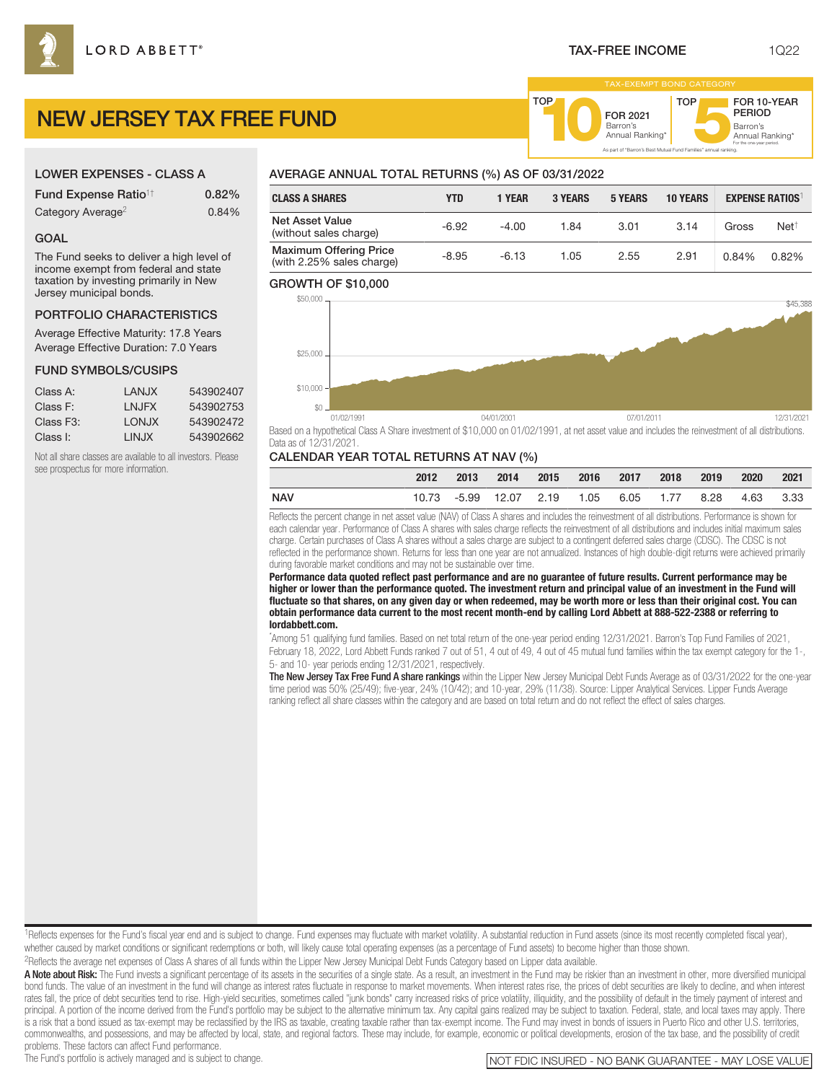FOR 2021<br>Barron's

Barron's **10**Annual Ranking\*

As part of "Barron's Best Mutual Fund Families" annual ranking.

TOP

Barron's<br>Annual Ranking\*

For the one-year period.

FOR 10-YEAR PERIOD

# NEW JERSEY TAX FREE FUND

### LOWER EXPENSES - CLASS A

| <b>Fund Expense Ratio<sup>1†</sup></b> | 0.82% |
|----------------------------------------|-------|
| Category Average <sup>2</sup>          | 0.84% |

#### GOAL

The Fund seeks to deliver a high level of income exempt from federal and state taxation by investing primarily in New Jersey municipal bonds.

## PORTFOLIO CHARACTERISTICS

Average Effective Maturity: 17.8 Years Average Effective Duration: 7.0 Years

#### FUND SYMBOLS/CUSIPS

| Class A:               | I ANJX | 543902407 |
|------------------------|--------|-----------|
| Class F:               | I NJFX | 543902753 |
| Class F <sub>3</sub> : | LONJX  | 543902472 |
| Class I:               | I INJX | 543902662 |

Not all share classes are available to all investors. Please see prospectus for more information.

# AVERAGE ANNUAL TOTAL RETURNS (%) AS OF 03/31/2022

| <b>CLASS A SHARES</b>                                      | YTD     | 1 YEAR  | <b>3 YEARS</b> | <b>5 YEARS</b> | <b>10 YEARS</b> |       | <b>EXPENSE RATIOS</b> |
|------------------------------------------------------------|---------|---------|----------------|----------------|-----------------|-------|-----------------------|
| Net Asset Value<br>(without sales charge)                  | $-6.92$ | $-4.00$ | 1.84           | 3.01           | 3.14            | Gross | $Net^{\dagger}$       |
| <b>Maximum Offering Price</b><br>(with 2.25% sales charge) | $-8.95$ | $-6.13$ | 1.05           | 2.55           | 2.91            | 0.84% | 0.82%                 |

TOP

#### GROWTH OF \$10,000



Based on a hypothetical Class A Share investment of \$10,000 on 01/02/1991, at net asset value and includes the reinvestment of all distributions. Data as of 12/31/2021.

#### CALENDAR YEAR TOTAL RETURNS AT NAV (%)

|     | 2012 | 2013 | 2014 2015 2016 2017                        |  | 2018 | 2019 | 2020      | 2021 |
|-----|------|------|--------------------------------------------|--|------|------|-----------|------|
| NAV |      |      | 10.73 -5.99 12.07 2.19 1.05 6.05 1.77 8.28 |  |      |      | 4.63 3.33 |      |

Reflects the percent change in net asset value (NAV) of Class A shares and includes the reinvestment of all distributions. Performance is shown for each calendar year. Performance of Class A shares with sales charge reflects the reinvestment of all distributions and includes initial maximum sales charge. Certain purchases of Class A shares without a sales charge are subject to a contingent deferred sales charge (CDSC). The CDSC is not reflected in the performance shown. Returns for less than one year are not annualized. Instances of high double-digit returns were achieved primarily during favorable market conditions and may not be sustainable over time.

**Performance data quoted reflect past performance and are no guarantee of future results. Current performance may be higher or lower than the performance quoted. The investment return and principal value of an investment in the Fund will fluctuate so that shares, on any given day or when redeemed, may be worth more or less than their original cost. You can obtain performance data current to the most recent month-end by calling Lord Abbett at 888-522-2388 or referring to lordabbett.com.**

\* Among 51 qualifying fund families. Based on net total return of the one-year period ending 12/31/2021. Barron's Top Fund Families of 2021, February 18, 2022, Lord Abbett Funds ranked 7 out of 51, 4 out of 49, 4 out of 45 mutual fund families within the tax exempt category for the 1-, 5- and 10- year periods ending 12/31/2021, respectively.

The New Jersey Tax Free Fund A share rankings within the Lipper New Jersey Municipal Debt Funds Average as of 03/31/2022 for the one-year time period was 50% (25/49); five-year, 24% (10/42); and 10-year, 29% (11/38). Source: Lipper Analytical Services. Lipper Funds Average ranking reflect all share classes within the category and are based on total return and do not reflect the effect of sales charges.

<sup>1</sup>Reflects expenses for the Fund's fiscal year end and is subject to change. Fund expenses may fluctuate with market volatility. A substantial reduction in Fund assets (since its most recently completed fiscal year), whether caused by market conditions or significant redemptions or both, will likely cause total operating expenses (as a percentage of Fund assets) to become higher than those shown. 2Reflects the average net expenses of Class A shares of all funds within the Lipper New Jersey Municipal Debt Funds Category based on Lipper data available.

A Note about Risk: The Fund invests a significant percentage of its assets in the securities of a single state. As a result, an investment in the Fund may be riskier than an investment in other, more diversified municipal bond funds. The value of an investment in the fund will change as interest rates fluctuate in response to market movements. When interest rates rise, the prices of debt securities are likely to decline, and when interest rates fall, the price of debt securities tend to rise. High-yield securities, sometimes called "junk bonds" carry increased risks of price volatility, illiquidity, and the possibility of default in the timely payment of in principal. A portion of the income derived from the Fund's portfolio may be subject to the alternative minimum tax. Any capital gains realized may be subject to taxation. Federal, state, and local taxes may apply. There is a risk that a bond issued as tax-exempt may be reclassified by the IRS as taxable, creating taxable rather than tax-exempt income. The Fund may invest in bonds of issuers in Puerto Rico and other U.S. territories, commonwealths, and possessions, and may be affected by local, state, and regional factors. These may include, for example, economic or political developments, erosion of the tax base, and the possibility of credit problems. These factors can affect Fund performance.